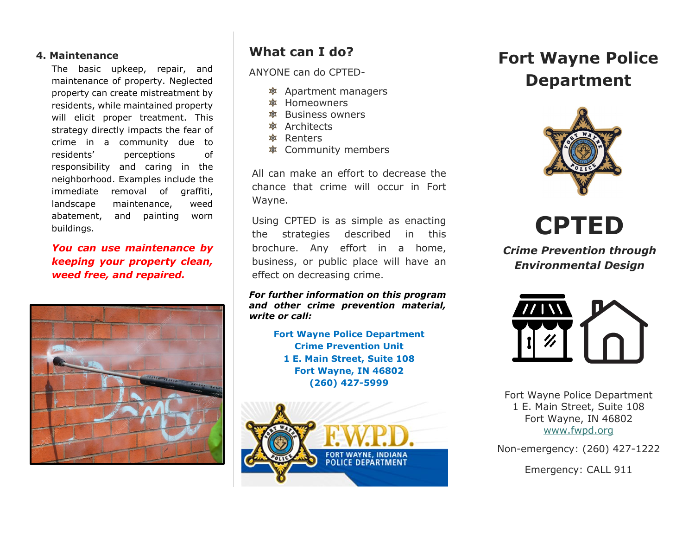#### **4. Maintenance**

The basic upkeep, repair, and maintenance of property. Neglected property can create mistreatment by residents, while maintained property will elicit proper treatment. This strategy directly impacts the fear of crime in a community due to residents' perceptions of responsibility and caring in the neighborhood. Examples include the immediate removal of graffiti, landscape maintenance, weed abatement, and painting worn buildings.

*You can use maintenance by keeping your property clean, weed free, and repaired.* 



## **What can I do?**

ANYONE can do CPTED-

- Apartment managers
- **参 Homeowners**
- **<sup>拿</sup>** Business owners
- **参** Architects
- Renters
- Community members

All can make an effort to decrease the chance that crime will occur in Fort Wayne.

Using CPTED is as simple as enacting the strategies described in this brochure. Any effort in a home, business, or public place will have an effect on decreasing crime.

#### *For further information on this program and other crime prevention material, write or call:*

**Fort Wayne Police Department Crime Prevention Unit 1 E. Main Street, Suite 108 Fort Wayne, IN 46802 (260) 427-5999**



# **Fort Wayne Police Department**



**CPTED**

*Crime Prevention through Environmental Design*



Fort Wayne Police Department 1 E. Main Street, Suite 108 Fort Wayne, IN 46802 [www.fwpd.org](http://www.fwpd.org/)

Non-emergency: (260) 427-1222

Emergency: CALL 911